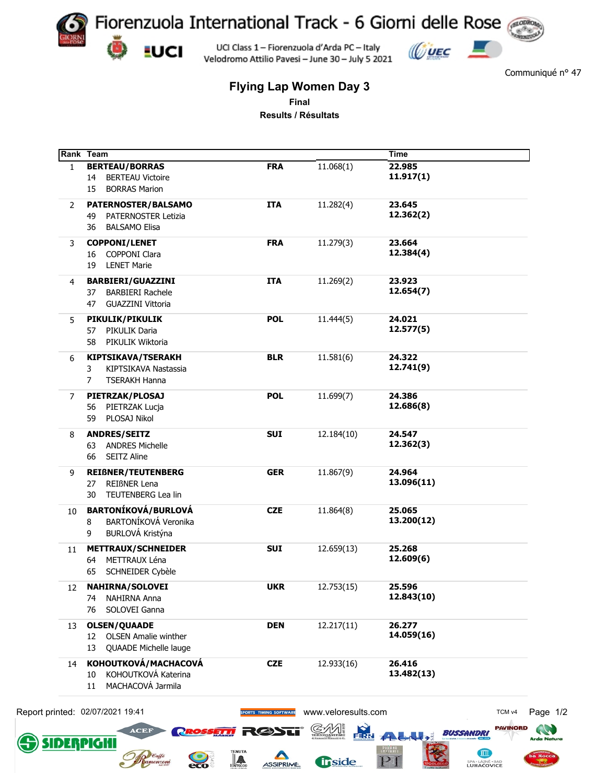

Velodromo Attilio Pavesi - June 30 - July 5 2021



Communiqué n° 47

## **Flying Lap Women Day 3 Final**

**Results / Résultats**

|              | Rank Team                                  |                               |                     | <b>Time</b>                         |
|--------------|--------------------------------------------|-------------------------------|---------------------|-------------------------------------|
| $\mathbf{1}$ | <b>BERTEAU/BORRAS</b>                      | <b>FRA</b>                    | 11.068(1)           | 22.985<br>11.917(1)                 |
|              | <b>BERTEAU Victoire</b><br>14              |                               |                     |                                     |
|              | <b>BORRAS Marion</b><br>15                 |                               |                     |                                     |
| 2            | PATERNOSTER/BALSAMO                        | <b>ITA</b>                    | 11.282(4)           | 23.645                              |
|              | <b>PATERNOSTER Letizia</b><br>49           |                               |                     | 12.362(2)                           |
|              | <b>BALSAMO Elisa</b><br>36                 |                               |                     |                                     |
| 3            | <b>COPPONI/LENET</b>                       | <b>FRA</b>                    | 11.279(3)           | 23.664                              |
|              | <b>COPPONI Clara</b><br>16                 |                               |                     | 12.384(4)                           |
|              | <b>LENET Marie</b><br>19                   |                               |                     |                                     |
|              |                                            |                               |                     |                                     |
| 4            | <b>BARBIERI/GUAZZINI</b>                   | <b>ITA</b>                    | 11.269(2)           | 23.923                              |
|              | <b>BARBIERI Rachele</b><br>37              |                               |                     | 12.654(7)                           |
|              | <b>GUAZZINI Vittoria</b><br>47             |                               |                     |                                     |
| 5            | PIKULIK/PIKULIK                            | <b>POL</b>                    | 11.444(5)           | 24.021                              |
|              | PIKULIK Daria<br>57                        |                               |                     | 12.577(5)                           |
|              | PIKULIK Wiktoria<br>58                     |                               |                     |                                     |
|              |                                            |                               |                     |                                     |
| 6            | KIPTSIKAVA/TSERAKH                         | <b>BLR</b>                    | 11.581(6)           | 24.322<br>12.741(9)                 |
|              | 3<br>KIPTSIKAVA Nastassia                  |                               |                     |                                     |
|              | $\overline{7}$<br><b>TSERAKH Hanna</b>     |                               |                     |                                     |
| 7            | PIETRZAK/PLOSAJ                            | <b>POL</b>                    | 11.699(7)           | 24.386                              |
|              | PIETRZAK Lucja<br>56                       |                               |                     | 12.686(8)                           |
|              | PLOSAJ Nikol<br>59                         |                               |                     |                                     |
| 8            | <b>ANDRES/SEITZ</b>                        | <b>SUI</b>                    | 12.184(10)          | 24.547                              |
|              | <b>ANDRES Michelle</b><br>63               |                               |                     | 12.362(3)                           |
|              | <b>SEITZ Aline</b><br>66                   |                               |                     |                                     |
|              |                                            |                               |                     |                                     |
| 9            | <b>REIßNER/TEUTENBERG</b>                  | <b>GER</b>                    | 11.867(9)           | 24.964                              |
|              | REIßNER Lena<br>27                         |                               |                     | 13.096(11)                          |
|              | TEUTENBERG Lea lin<br>30                   |                               |                     |                                     |
| 10           | <b>BARTONÍKOVÁ/BURLOVÁ</b>                 | <b>CZE</b>                    | 11.864(8)           | 25.065                              |
|              | BARTONÍKOVÁ Veronika<br>8                  |                               |                     | 13.200(12)                          |
|              | BURLOVÁ Kristýna<br>9                      |                               |                     |                                     |
|              |                                            |                               |                     |                                     |
| 11           | <b>METTRAUX/SCHNEIDER</b><br>METTRAUX Léna | <b>SUI</b>                    | 12.659(13)          | 25.268<br>12.609(6)                 |
|              | 64                                         |                               |                     |                                     |
|              | SCHNEIDER Cybèle<br>65                     |                               |                     |                                     |
| 12           | <b>NAHIRNA/SOLOVEI</b>                     | <b>UKR</b>                    | 12.753(15)          | 25.596                              |
|              | NAHIRNA Anna<br>74                         |                               |                     | 12.843(10)                          |
|              | SOLOVEI Ganna<br>76                        |                               |                     |                                     |
| 13           | <b>OLSEN/QUAADE</b>                        | <b>DEN</b>                    | 12.217(11)          | 26.277                              |
|              | <b>OLSEN Amalie winther</b><br>12          |                               |                     | 14.059(16)                          |
|              | QUAADE Michelle lauge<br>13                |                               |                     |                                     |
|              |                                            |                               |                     |                                     |
| 14           | KOHOUTKOVÁ/MACHACOVÁ                       | <b>CZE</b>                    | 12.933(16)          | 26.416                              |
|              | KOHOUTKOVÁ Katerina<br>10                  |                               |                     | 13.482(13)                          |
|              | MACHACOVÁ Jarmila<br>11                    |                               |                     |                                     |
|              |                                            |                               |                     |                                     |
|              | Report printed: 02/07/2021 19:41           | <b>SPORTS TIMING SOFTWARE</b> | www.veloresults.com | TCM <sub>v4</sub>                   |
|              | <b>ACEF</b><br><b>PROSSETTI</b>            | 3635                          | <b>FRR</b><br>Œ     | <b>PAVINORD</b><br><b>BUSSANDRI</b> |
|              |                                            |                               |                     | $\sqrt{2}$                          |

ASSIPRIME